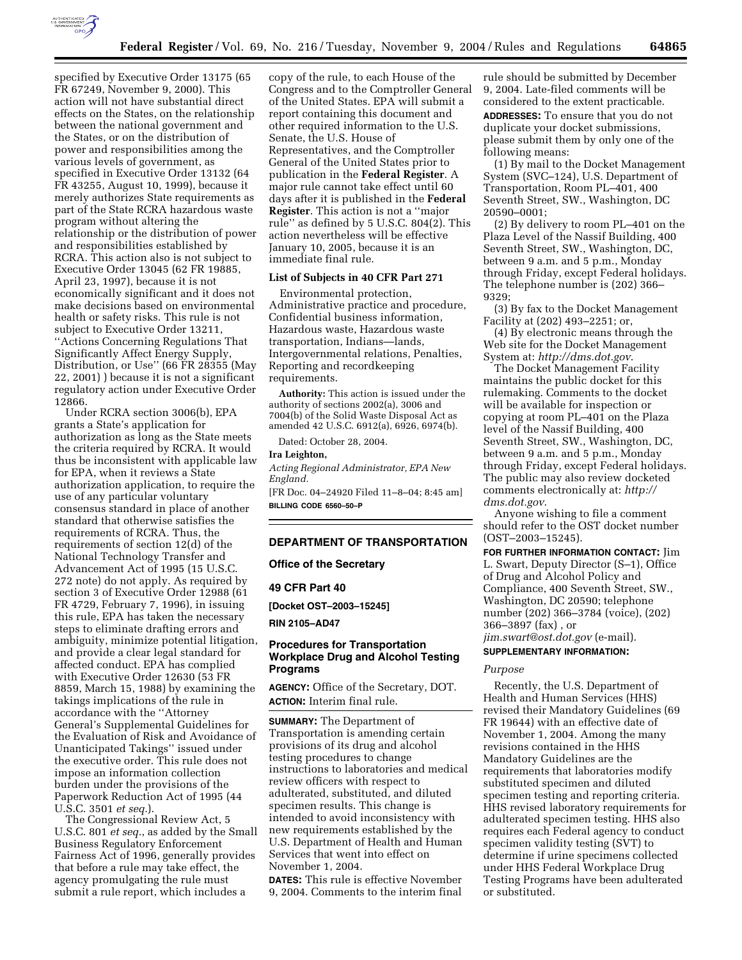

specified by Executive Order 13175 (65 FR 67249, November 9, 2000). This action will not have substantial direct effects on the States, on the relationship between the national government and the States, or on the distribution of power and responsibilities among the various levels of government, as specified in Executive Order 13132 (64 FR 43255, August 10, 1999), because it merely authorizes State requirements as part of the State RCRA hazardous waste program without altering the relationship or the distribution of power and responsibilities established by RCRA. This action also is not subject to Executive Order 13045 (62 FR 19885, April 23, 1997), because it is not economically significant and it does not make decisions based on environmental health or safety risks. This rule is not subject to Executive Order 13211, ''Actions Concerning Regulations That Significantly Affect Energy Supply, Distribution, or Use'' (66 FR 28355 (May 22, 2001) ) because it is not a significant regulatory action under Executive Order 12866.

Under RCRA section 3006(b), EPA grants a State's application for authorization as long as the State meets the criteria required by RCRA. It would thus be inconsistent with applicable law for EPA, when it reviews a State authorization application, to require the use of any particular voluntary consensus standard in place of another standard that otherwise satisfies the requirements of RCRA. Thus, the requirements of section 12(d) of the National Technology Transfer and Advancement Act of 1995 (15 U.S.C. 272 note) do not apply. As required by section 3 of Executive Order 12988 (61 FR 4729, February 7, 1996), in issuing this rule, EPA has taken the necessary steps to eliminate drafting errors and ambiguity, minimize potential litigation, and provide a clear legal standard for affected conduct. EPA has complied with Executive Order 12630 (53 FR 8859, March 15, 1988) by examining the takings implications of the rule in accordance with the ''Attorney General's Supplemental Guidelines for the Evaluation of Risk and Avoidance of Unanticipated Takings'' issued under the executive order. This rule does not impose an information collection burden under the provisions of the Paperwork Reduction Act of 1995 (44 U.S.C. 3501 *et seq.*).

The Congressional Review Act, 5 U.S.C. 801 *et seq.*, as added by the Small Business Regulatory Enforcement Fairness Act of 1996, generally provides that before a rule may take effect, the agency promulgating the rule must submit a rule report, which includes a

copy of the rule, to each House of the Congress and to the Comptroller General of the United States. EPA will submit a report containing this document and other required information to the U.S. Senate, the U.S. House of Representatives, and the Comptroller General of the United States prior to publication in the **Federal Register**. A major rule cannot take effect until 60 days after it is published in the **Federal Register**. This action is not a ''major rule'' as defined by 5 U.S.C. 804(2). This action nevertheless will be effective January 10, 2005, because it is an immediate final rule.

# **List of Subjects in 40 CFR Part 271**

Environmental protection, Administrative practice and procedure, Confidential business information, Hazardous waste, Hazardous waste transportation, Indians—lands, Intergovernmental relations, Penalties, Reporting and recordkeeping requirements.

**Authority:** This action is issued under the authority of sections 2002(a), 3006 and 7004(b) of the Solid Waste Disposal Act as amended 42 U.S.C. 6912(a), 6926, 6974(b).

Dated: October 28, 2004.

# **Ira Leighton,**

*Acting Regional Administrator, EPA New England.*

[FR Doc. 04–24920 Filed 11–8–04; 8:45 am] **BILLING CODE 6560–50–P**

#### **DEPARTMENT OF TRANSPORTATION**

**Office of the Secretary** 

#### **49 CFR Part 40**

**[Docket OST–2003–15245]** 

**RIN 2105–AD47**

# **Procedures for Transportation Workplace Drug and Alcohol Testing Programs**

**AGENCY:** Office of the Secretary, DOT. **ACTION:** Interim final rule.

**SUMMARY:** The Department of Transportation is amending certain provisions of its drug and alcohol testing procedures to change instructions to laboratories and medical review officers with respect to adulterated, substituted, and diluted specimen results. This change is intended to avoid inconsistency with new requirements established by the U.S. Department of Health and Human Services that went into effect on November 1, 2004.

**DATES:** This rule is effective November 9, 2004. Comments to the interim final

rule should be submitted by December 9, 2004. Late-filed comments will be considered to the extent practicable.

**ADDRESSES:** To ensure that you do not duplicate your docket submissions, please submit them by only one of the following means:

(1) By mail to the Docket Management System (SVC–124), U.S. Department of Transportation, Room PL–401, 400 Seventh Street, SW., Washington, DC 20590–0001;

(2) By delivery to room PL–401 on the Plaza Level of the Nassif Building, 400 Seventh Street, SW., Washington, DC, between 9 a.m. and 5 p.m., Monday through Friday, except Federal holidays. The telephone number is (202) 366– 9329;

(3) By fax to the Docket Management Facility at (202) 493–2251; or,

(4) By electronic means through the Web site for the Docket Management System at: *http://dms.dot.gov*.

The Docket Management Facility maintains the public docket for this rulemaking. Comments to the docket will be available for inspection or copying at room PL–401 on the Plaza level of the Nassif Building, 400 Seventh Street, SW., Washington, DC, between 9 a.m. and 5 p.m., Monday through Friday, except Federal holidays. The public may also review docketed comments electronically at: *http:// dms.dot.gov*.

Anyone wishing to file a comment should refer to the OST docket number (OST–2003–15245).

**FOR FURTHER INFORMATION CONTACT:** Jim L. Swart, Deputy Director (S–1), Office of Drug and Alcohol Policy and Compliance, 400 Seventh Street, SW., Washington, DC 20590; telephone number (202) 366–3784 (voice), (202) 366–3897 (fax) , or *jim.swart@ost.dot.gov* (e-mail).

# **SUPPLEMENTARY INFORMATION:**

### *Purpose*

Recently, the U.S. Department of Health and Human Services (HHS) revised their Mandatory Guidelines (69 FR 19644) with an effective date of November 1, 2004. Among the many revisions contained in the HHS Mandatory Guidelines are the requirements that laboratories modify substituted specimen and diluted specimen testing and reporting criteria. HHS revised laboratory requirements for adulterated specimen testing. HHS also requires each Federal agency to conduct specimen validity testing (SVT) to determine if urine specimens collected under HHS Federal Workplace Drug Testing Programs have been adulterated or substituted.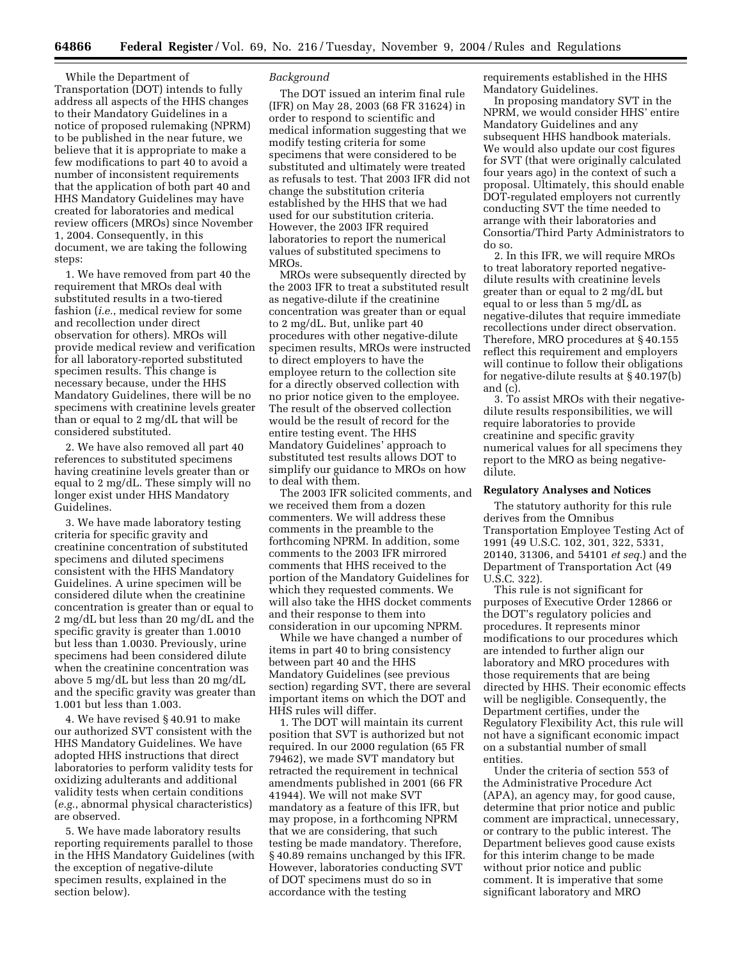While the Department of Transportation (DOT) intends to fully address all aspects of the HHS changes to their Mandatory Guidelines in a notice of proposed rulemaking (NPRM) to be published in the near future, we believe that it is appropriate to make a few modifications to part 40 to avoid a number of inconsistent requirements that the application of both part 40 and HHS Mandatory Guidelines may have created for laboratories and medical review officers (MROs) since November 1, 2004. Consequently, in this document, we are taking the following steps:

1. We have removed from part 40 the requirement that MROs deal with substituted results in a two-tiered fashion (*i.e.*, medical review for some and recollection under direct observation for others). MROs will provide medical review and verification for all laboratory-reported substituted specimen results. This change is necessary because, under the HHS Mandatory Guidelines, there will be no specimens with creatinine levels greater than or equal to 2 mg/dL that will be considered substituted.

2. We have also removed all part 40 references to substituted specimens having creatinine levels greater than or equal to 2 mg/dL. These simply will no longer exist under HHS Mandatory Guidelines.

3. We have made laboratory testing criteria for specific gravity and creatinine concentration of substituted specimens and diluted specimens consistent with the HHS Mandatory Guidelines. A urine specimen will be considered dilute when the creatinine concentration is greater than or equal to 2 mg/dL but less than 20 mg/dL and the specific gravity is greater than 1.0010 but less than 1.0030. Previously, urine specimens had been considered dilute when the creatinine concentration was above 5 mg/dL but less than 20 mg/dL and the specific gravity was greater than 1.001 but less than 1.003.

4. We have revised § 40.91 to make our authorized SVT consistent with the HHS Mandatory Guidelines. We have adopted HHS instructions that direct laboratories to perform validity tests for oxidizing adulterants and additional validity tests when certain conditions (*e.g.*, abnormal physical characteristics) are observed.

5. We have made laboratory results reporting requirements parallel to those in the HHS Mandatory Guidelines (with the exception of negative-dilute specimen results, explained in the section below).

#### *Background*

The DOT issued an interim final rule (IFR) on May 28, 2003 (68 FR 31624) in order to respond to scientific and medical information suggesting that we modify testing criteria for some specimens that were considered to be substituted and ultimately were treated as refusals to test. That 2003 IFR did not change the substitution criteria established by the HHS that we had used for our substitution criteria. However, the 2003 IFR required laboratories to report the numerical values of substituted specimens to MROs.

MROs were subsequently directed by the 2003 IFR to treat a substituted result as negative-dilute if the creatinine concentration was greater than or equal to 2 mg/dL. But, unlike part 40 procedures with other negative-dilute specimen results, MROs were instructed to direct employers to have the employee return to the collection site for a directly observed collection with no prior notice given to the employee. The result of the observed collection would be the result of record for the entire testing event. The HHS Mandatory Guidelines' approach to substituted test results allows DOT to simplify our guidance to MROs on how to deal with them.

The 2003 IFR solicited comments, and we received them from a dozen commenters. We will address these comments in the preamble to the forthcoming NPRM. In addition, some comments to the 2003 IFR mirrored comments that HHS received to the portion of the Mandatory Guidelines for which they requested comments. We will also take the HHS docket comments and their response to them into consideration in our upcoming NPRM.

While we have changed a number of items in part 40 to bring consistency between part 40 and the HHS Mandatory Guidelines (see previous section) regarding SVT, there are several important items on which the DOT and HHS rules will differ.

1. The DOT will maintain its current position that SVT is authorized but not required. In our 2000 regulation (65 FR 79462), we made SVT mandatory but retracted the requirement in technical amendments published in 2001 (66 FR 41944). We will not make SVT mandatory as a feature of this IFR, but may propose, in a forthcoming NPRM that we are considering, that such testing be made mandatory. Therefore, § 40.89 remains unchanged by this IFR. However, laboratories conducting SVT of DOT specimens must do so in accordance with the testing

requirements established in the HHS Mandatory Guidelines.

In proposing mandatory SVT in the NPRM, we would consider HHS' entire Mandatory Guidelines and any subsequent HHS handbook materials. We would also update our cost figures for SVT (that were originally calculated four years ago) in the context of such a proposal. Ultimately, this should enable DOT-regulated employers not currently conducting SVT the time needed to arrange with their laboratories and Consortia/Third Party Administrators to do so.

2. In this IFR, we will require MROs to treat laboratory reported negativedilute results with creatinine levels greater than or equal to 2 mg/dL but equal to or less than 5 mg/dL as negative-dilutes that require immediate recollections under direct observation. Therefore, MRO procedures at § 40.155 reflect this requirement and employers will continue to follow their obligations for negative-dilute results at § 40.197(b) and (c).

3. To assist MROs with their negativedilute results responsibilities, we will require laboratories to provide creatinine and specific gravity numerical values for all specimens they report to the MRO as being negativedilute.

#### **Regulatory Analyses and Notices**

The statutory authority for this rule derives from the Omnibus Transportation Employee Testing Act of 1991 (49 U.S.C. 102, 301, 322, 5331, 20140, 31306, and 54101 *et seq.*) and the Department of Transportation Act (49 U.S.C. 322).

This rule is not significant for purposes of Executive Order 12866 or the DOT's regulatory policies and procedures. It represents minor modifications to our procedures which are intended to further align our laboratory and MRO procedures with those requirements that are being directed by HHS. Their economic effects will be negligible. Consequently, the Department certifies, under the Regulatory Flexibility Act, this rule will not have a significant economic impact on a substantial number of small entities.

Under the criteria of section 553 of the Administrative Procedure Act (APA), an agency may, for good cause, determine that prior notice and public comment are impractical, unnecessary, or contrary to the public interest. The Department believes good cause exists for this interim change to be made without prior notice and public comment. It is imperative that some significant laboratory and MRO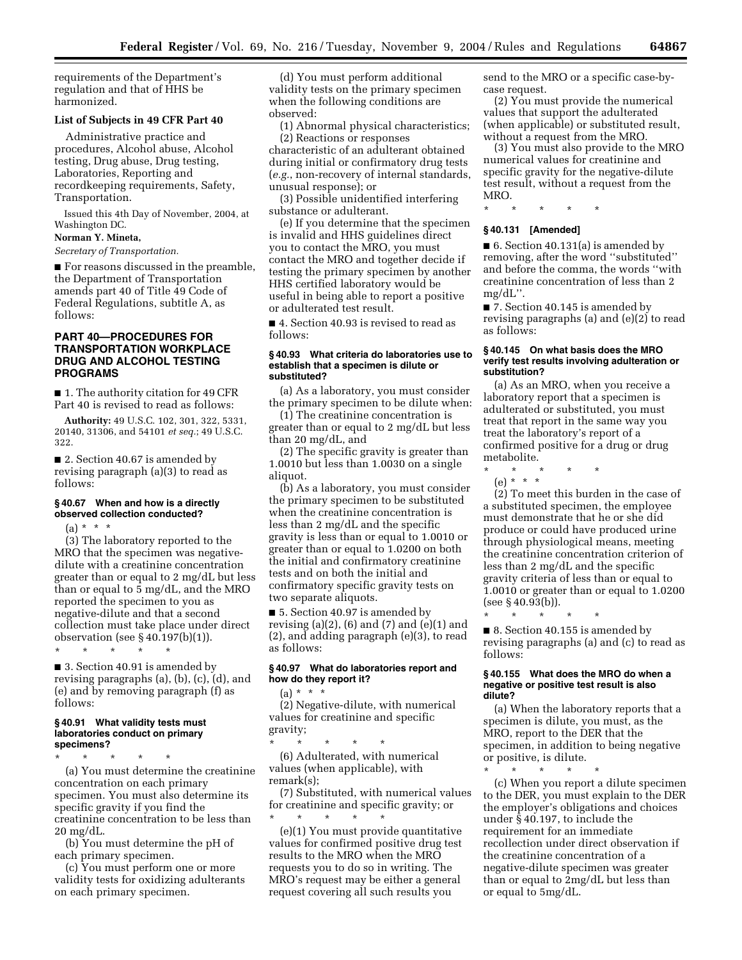requirements of the Department's regulation and that of HHS be harmonized.

#### **List of Subjects in 49 CFR Part 40**

Administrative practice and procedures, Alcohol abuse, Alcohol testing, Drug abuse, Drug testing, Laboratories, Reporting and recordkeeping requirements, Safety, Transportation.

Issued this 4th Day of November, 2004, at Washington DC.

# **Norman Y. Mineta,**

*Secretary of Transportation.*

■ For reasons discussed in the preamble, the Department of Transportation amends part 40 of Title 49 Code of Federal Regulations, subtitle A, as follows:

### **PART 40—PROCEDURES FOR TRANSPORTATION WORKPLACE DRUG AND ALCOHOL TESTING PROGRAMS**

■ 1. The authority citation for 49 CFR Part 40 is revised to read as follows:

**Authority:** 49 U.S.C. 102, 301, 322, 5331, 20140, 31306, and 54101 *et seq.*; 49 U.S.C. 322.

■ 2. Section 40.67 is amended by revising paragraph (a)(3) to read as follows:

### **§ 40.67 When and how is a directly observed collection conducted?**

# $(a) * * * *$

(3) The laboratory reported to the MRO that the specimen was negativedilute with a creatinine concentration greater than or equal to 2 mg/dL but less than or equal to 5 mg/dL, and the MRO reported the specimen to you as negative-dilute and that a second collection must take place under direct observation (see § 40.197(b)(1)). \* \* \* \* \*

■ 3. Section 40.91 is amended by revising paragraphs (a), (b), (c), (d), and (e) and by removing paragraph (f) as follows:

#### **§ 40.91 What validity tests must laboratories conduct on primary specimens?**

\* \* \* \* \* (a) You must determine the creatinine concentration on each primary specimen. You must also determine its specific gravity if you find the creatinine concentration to be less than 20 mg/dL.

(b) You must determine the pH of each primary specimen.

(c) You must perform one or more validity tests for oxidizing adulterants on each primary specimen.

(d) You must perform additional validity tests on the primary specimen when the following conditions are observed:

(1) Abnormal physical characteristics; (2) Reactions or responses

characteristic of an adulterant obtained during initial or confirmatory drug tests (*e.g.*, non-recovery of internal standards, unusual response); or

(3) Possible unidentified interfering substance or adulterant.

(e) If you determine that the specimen is invalid and HHS guidelines direct you to contact the MRO, you must contact the MRO and together decide if testing the primary specimen by another HHS certified laboratory would be useful in being able to report a positive or adulterated test result.

■ 4. Section 40.93 is revised to read as follows:

#### **§ 40.93 What criteria do laboratories use to establish that a specimen is dilute or substituted?**

(a) As a laboratory, you must consider the primary specimen to be dilute when:

(1) The creatinine concentration is greater than or equal to 2 mg/dL but less than 20 mg/dL, and

(2) The specific gravity is greater than 1.0010 but less than 1.0030 on a single aliquot.

(b) As a laboratory, you must consider the primary specimen to be substituted when the creatinine concentration is less than 2 mg/dL and the specific gravity is less than or equal to 1.0010 or greater than or equal to 1.0200 on both the initial and confirmatory creatinine tests and on both the initial and confirmatory specific gravity tests on two separate aliquots.

■ 5. Section 40.97 is amended by revising  $(a)(2)$ ,  $(b)$  and  $(7)$  and  $(e)(1)$  and (2), and adding paragraph (e)(3), to read as follows:

### **§ 40.97 What do laboratories report and how do they report it?**

 $(a) * * * *$ (2) Negative-dilute, with numerical values for creatinine and specific

gravity; \* \* \* \* \* (6) Adulterated, with numerical values (when applicable), with remark(s);

(7) Substituted, with numerical values for creatinine and specific gravity; or \* \* \* \* \*

(e)(1) You must provide quantitative values for confirmed positive drug test results to the MRO when the MRO requests you to do so in writing. The MRO's request may be either a general request covering all such results you

send to the MRO or a specific case-bycase request.

(2) You must provide the numerical values that support the adulterated (when applicable) or substituted result, without a request from the MRO.

(3) You must also provide to the MRO numerical values for creatinine and specific gravity for the negative-dilute test result, without a request from the MRO.

\* \* \* \* \*

#### **§ 40.131 [Amended]**

■ 6. Section 40.131(a) is amended by removing, after the word ''substituted'' and before the comma, the words ''with creatinine concentration of less than 2 mg/dL''.

■ 7. Section 40.145 is amended by revising paragraphs (a) and (e)(2) to read as follows:

### **§ 40.145 On what basis does the MRO verify test results involving adulteration or substitution?**

(a) As an MRO, when you receive a laboratory report that a specimen is adulterated or substituted, you must treat that report in the same way you treat the laboratory's report of a confirmed positive for a drug or drug metabolite.

\* \* \* \* \* (e) \* \* \*

(2) To meet this burden in the case of a substituted specimen, the employee must demonstrate that he or she did produce or could have produced urine through physiological means, meeting the creatinine concentration criterion of less than 2 mg/dL and the specific gravity criteria of less than or equal to 1.0010 or greater than or equal to 1.0200 (see § 40.93(b)).

\* \* \* \* \* ■ 8. Section 40.155 is amended by revising paragraphs (a) and (c) to read as follows:

#### **§ 40.155 What does the MRO do when a negative or positive test result is also dilute?**

(a) When the laboratory reports that a specimen is dilute, you must, as the MRO, report to the DER that the specimen, in addition to being negative or positive, is dilute.

\* \* \* \* \*

(c) When you report a dilute specimen to the DER, you must explain to the DER the employer's obligations and choices under § 40.197, to include the requirement for an immediate recollection under direct observation if the creatinine concentration of a negative-dilute specimen was greater than or equal to 2mg/dL but less than or equal to 5mg/dL.